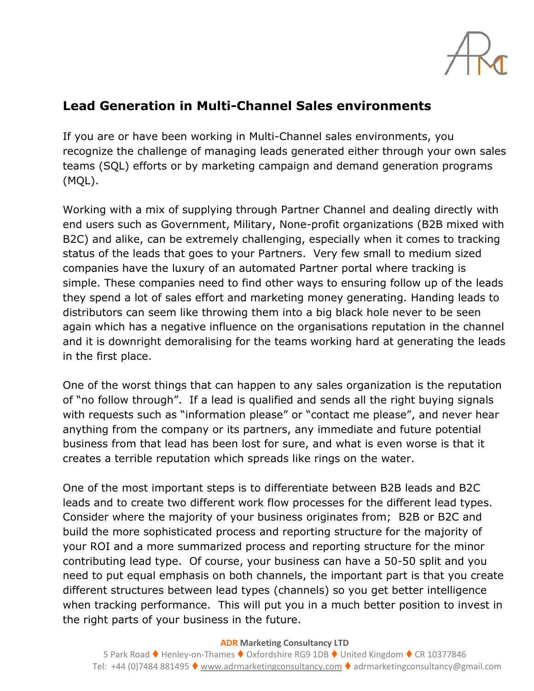

## **Lead Generation in Multi-Channel Sales environments**

If you are or have been working in Multi-Channel sales environments, you recognize the challenge of managing leads generated either through your own sales teams (SQL) efforts or by marketing campaign and demand generation programs (MQL).

Working with a mix of supplying through Partner Channel and dealing directly with end users such as Government, Military, None-profit organizations (B2B mixed with B2C) and alike, can be extremely challenging, especially when it comes to tracking status of the leads that goes to your Partners. Very few small to medium sized companies have the luxury of an automated Partner portal where tracking is simple. These companies need to find other ways to ensuring follow up of the leads they spend a lot of sales effort and marketing money generating. Handing leads to distributors can seem like throwing them into a big black hole never to be seen again which has a negative influence on the organisations reputation in the channel and it is downright demoralising for the teams working hard at generating the leads in the first place.

One of the worst things that can happen to any sales organization is the reputation of "no follow through". If a lead is qualified and sends all the right buying signals with requests such as "information please" or "contact me please", and never hear anything from the company or its partners, any immediate and future potential business from that lead has been lost for sure, and what is even worse is that it creates a terrible reputation which spreads like rings on the water.

One of the most important steps is to differentiate between B2B leads and B2C leads and to create two different work flow processes for the different lead types. Consider where the majority of your business originates from; B2B or B2C and build the more sophisticated process and reporting structure for the majority of your ROI and a more summarized process and reporting structure for the minor contributing lead type. Of course, your business can have a 50-50 split and you need to put equal emphasis on both channels, the important part is that you create different structures between lead types (channels) so you get better intelligence when tracking performance. This will put you in a much better position to invest in the right parts of your business in the future.

**ADR Marketing Consultancy LTD**